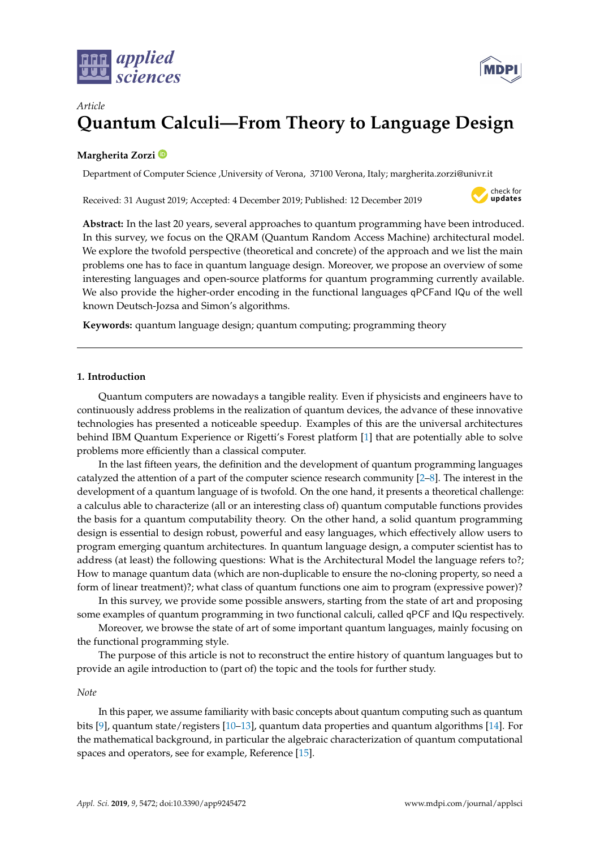



# *Article* **Quantum Calculi—From Theory to Language Design**

# **Margherita Zorzi**

Department of Computer Science ,University of Verona, 37100 Verona, Italy; margherita.zorzi@univr.it

Received: 31 August 2019; Accepted: 4 December 2019; Published: 12 December 2019



**Abstract:** In the last 20 years, several approaches to quantum programming have been introduced. In this survey, we focus on the QRAM (Quantum Random Access Machine) architectural model. We explore the twofold perspective (theoretical and concrete) of the approach and we list the main problems one has to face in quantum language design. Moreover, we propose an overview of some interesting languages and open-source platforms for quantum programming currently available. We also provide the higher-order encoding in the functional languages qPCFand IQu of the well known Deutsch-Jozsa and Simon's algorithms.

**Keywords:** quantum language design; quantum computing; programming theory

## **1. Introduction**

Quantum computers are nowadays a tangible reality. Even if physicists and engineers have to continuously address problems in the realization of quantum devices, the advance of these innovative technologies has presented a noticeable speedup. Examples of this are the universal architectures behind IBM Quantum Experience or Rigetti's Forest platform [\[1\]](#page-14-0) that are potentially able to solve problems more efficiently than a classical computer.

In the last fifteen years, the definition and the development of quantum programming languages catalyzed the attention of a part of the computer science research community [\[2–](#page-14-1)[8\]](#page-14-2). The interest in the development of a quantum language of is twofold. On the one hand, it presents a theoretical challenge: a calculus able to characterize (all or an interesting class of) quantum computable functions provides the basis for a quantum computability theory. On the other hand, a solid quantum programming design is essential to design robust, powerful and easy languages, which effectively allow users to program emerging quantum architectures. In quantum language design, a computer scientist has to address (at least) the following questions: What is the Architectural Model the language refers to?; How to manage quantum data (which are non-duplicable to ensure the no-cloning property, so need a form of linear treatment)?; what class of quantum functions one aim to program (expressive power)?

In this survey, we provide some possible answers, starting from the state of art and proposing some examples of quantum programming in two functional calculi, called qPCF and IQu respectively.

Moreover, we browse the state of art of some important quantum languages, mainly focusing on the functional programming style.

The purpose of this article is not to reconstruct the entire history of quantum languages but to provide an agile introduction to (part of) the topic and the tools for further study.

### *Note*

In this paper, we assume familiarity with basic concepts about quantum computing such as quantum bits [\[9\]](#page-14-3), quantum state/registers [\[10–](#page-14-4)[13\]](#page-14-5), quantum data properties and quantum algorithms [\[14\]](#page-14-6). For the mathematical background, in particular the algebraic characterization of quantum computational spaces and operators, see for example, Reference [\[15\]](#page-14-7).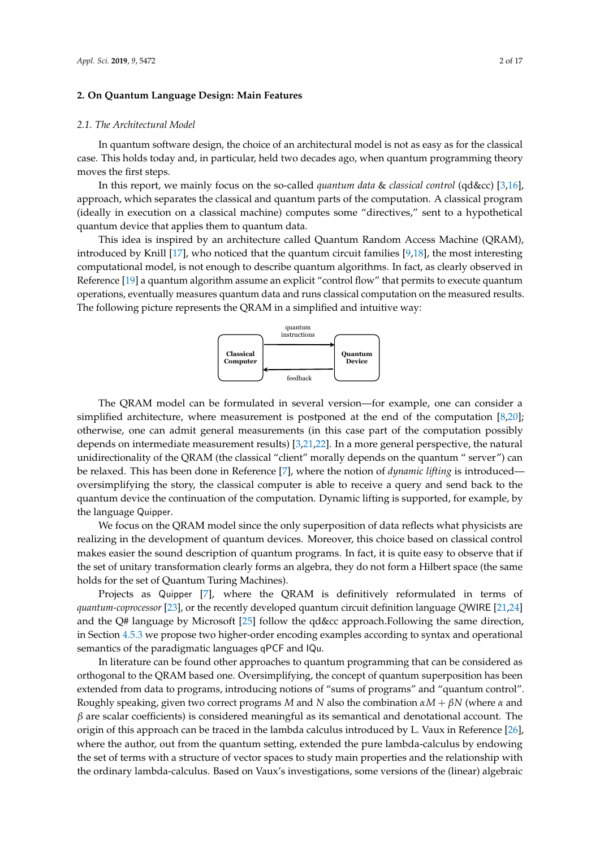## **2. On Quantum Language Design: Main Features**

#### *2.1. The Architectural Model*

In quantum software design, the choice of an architectural model is not as easy as for the classical case. This holds today and, in particular, held two decades ago, when quantum programming theory moves the first steps.

In this report, we mainly focus on the so-called *quantum data* & *classical control* (qd&cc) [\[3,](#page-14-8)[16\]](#page-14-9), approach, which separates the classical and quantum parts of the computation. A classical program (ideally in execution on a classical machine) computes some "directives," sent to a hypothetical quantum device that applies them to quantum data.

This idea is inspired by an architecture called Quantum Random Access Machine (QRAM), introduced by Knill [\[17\]](#page-14-10), who noticed that the quantum circuit families [\[9](#page-14-3)[,18\]](#page-14-11), the most interesting computational model, is not enough to describe quantum algorithms. In fact, as clearly observed in Reference [\[19\]](#page-14-12) a quantum algorithm assume an explicit "control flow" that permits to execute quantum operations, eventually measures quantum data and runs classical computation on the measured results. The following picture represents the QRAM in a simplified and intuitive way:



The QRAM model can be formulated in several version—for example, one can consider a simplified architecture, where measurement is postponed at the end of the computation [\[8,](#page-14-2)[20\]](#page-14-13); otherwise, one can admit general measurements (in this case part of the computation possibly depends on intermediate measurement results) [\[3](#page-14-8)[,21](#page-14-14)[,22\]](#page-14-15). In a more general perspective, the natural unidirectionality of the QRAM (the classical "client" morally depends on the quantum " server") can be relaxed. This has been done in Reference [\[7\]](#page-14-16), where the notion of *dynamic lifting* is introduced oversimplifying the story, the classical computer is able to receive a query and send back to the quantum device the continuation of the computation. Dynamic lifting is supported, for example, by the language Quipper.

We focus on the QRAM model since the only superposition of data reflects what physicists are realizing in the development of quantum devices. Moreover, this choice based on classical control makes easier the sound description of quantum programs. In fact, it is quite easy to observe that if the set of unitary transformation clearly forms an algebra, they do not form a Hilbert space (the same holds for the set of Quantum Turing Machines).

Projects as Quipper [\[7\]](#page-14-16), where the QRAM is definitively reformulated in terms of *quantum-coprocessor* [\[23\]](#page-15-0), or the recently developed quantum circuit definition language *Q*WIRE [\[21,](#page-14-14)[24\]](#page-15-1) and the Q# language by Microsoft [\[25\]](#page-15-2) follow the qd&cc approach.Following the same direction, in Section [4.5.3](#page-9-0) we propose two higher-order encoding examples according to syntax and operational semantics of the paradigmatic languages qPCF and IQu.

In literature can be found other approaches to quantum programming that can be considered as orthogonal to the QRAM based one. Oversimplifying, the concept of quantum superposition has been extended from data to programs, introducing notions of "sums of programs" and "quantum control". Roughly speaking, given two correct programs *M* and *N* also the combination *αM* + *βN* (where *α* and *β* are scalar coefficients) is considered meaningful as its semantical and denotational account. The origin of this approach can be traced in the lambda calculus introduced by L. Vaux in Reference [\[26\]](#page-15-3), where the author, out from the quantum setting, extended the pure lambda-calculus by endowing the set of terms with a structure of vector spaces to study main properties and the relationship with the ordinary lambda-calculus. Based on Vaux's investigations, some versions of the (linear) algebraic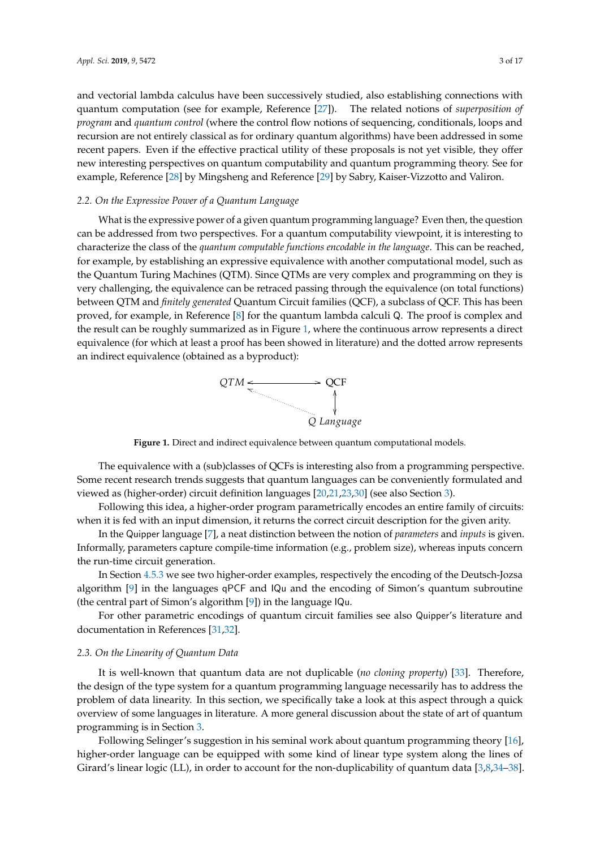and vectorial lambda calculus have been successively studied, also establishing connections with quantum computation (see for example, Reference [\[27\]](#page-15-4)). The related notions of *superposition of program* and *quantum control* (where the control flow notions of sequencing, conditionals, loops and recursion are not entirely classical as for ordinary quantum algorithms) have been addressed in some recent papers. Even if the effective practical utility of these proposals is not yet visible, they offer new interesting perspectives on quantum computability and quantum programming theory. See for example, Reference [\[28\]](#page-15-5) by Mingsheng and Reference [\[29\]](#page-15-6) by Sabry, Kaiser-Vizzotto and Valiron.

## *2.2. On the Expressive Power of a Quantum Language*

What is the expressive power of a given quantum programming language? Even then, the question can be addressed from two perspectives. For a quantum computability viewpoint, it is interesting to characterize the class of the *quantum computable functions encodable in the language*. This can be reached, for example, by establishing an expressive equivalence with another computational model, such as the Quantum Turing Machines (QTM). Since QTMs are very complex and programming on they is very challenging, the equivalence can be retraced passing through the equivalence (on total functions) between QTM and *finitely generated* Quantum Circuit families (QCF), a subclass of QCF. This has been proved, for example, in Reference [\[8\]](#page-14-2) for the quantum lambda calculi Q. The proof is complex and the result can be roughly summarized as in Figure [1,](#page-2-0) where the continuous arrow represents a direct equivalence (for which at least a proof has been showed in literature) and the dotted arrow represents an indirect equivalence (obtained as a byproduct):



<span id="page-2-0"></span>**Figure 1.** Direct and indirect equivalence between quantum computational models.

The equivalence with a (sub)classes of QCFs is interesting also from a programming perspective. Some recent research trends suggests that quantum languages can be conveniently formulated and viewed as (higher-order) circuit definition languages [\[20,](#page-14-13)[21](#page-14-14)[,23](#page-15-0)[,30\]](#page-15-7) (see also Section [3\)](#page-4-0).

Following this idea, a higher-order program parametrically encodes an entire family of circuits: when it is fed with an input dimension, it returns the correct circuit description for the given arity.

In the Quipper language [\[7\]](#page-14-16), a neat distinction between the notion of *parameters* and *inputs* is given. Informally, parameters capture compile-time information (e.g., problem size), whereas inputs concern the run-time circuit generation.

In Section [4.5.3](#page-9-0) we see two higher-order examples, respectively the encoding of the Deutsch-Jozsa algorithm [\[9\]](#page-14-3) in the languages qPCF and IQu and the encoding of Simon's quantum subroutine (the central part of Simon's algorithm [\[9\]](#page-14-3)) in the language IQu.

For other parametric encodings of quantum circuit families see also Quipper's literature and documentation in References [\[31,](#page-15-8)[32\]](#page-15-9).

#### <span id="page-2-1"></span>*2.3. On the Linearity of Quantum Data*

It is well-known that quantum data are not duplicable (*no cloning property*) [\[33\]](#page-15-10). Therefore, the design of the type system for a quantum programming language necessarily has to address the problem of data linearity. In this section, we specifically take a look at this aspect through a quick overview of some languages in literature. A more general discussion about the state of art of quantum programming is in Section [3.](#page-4-0)

Following Selinger's suggestion in his seminal work about quantum programming theory [\[16\]](#page-14-9), higher-order language can be equipped with some kind of linear type system along the lines of Girard's linear logic (LL), in order to account for the non-duplicability of quantum data [\[3](#page-14-8)[,8,](#page-14-2)[34–](#page-15-11)[38\]](#page-15-12).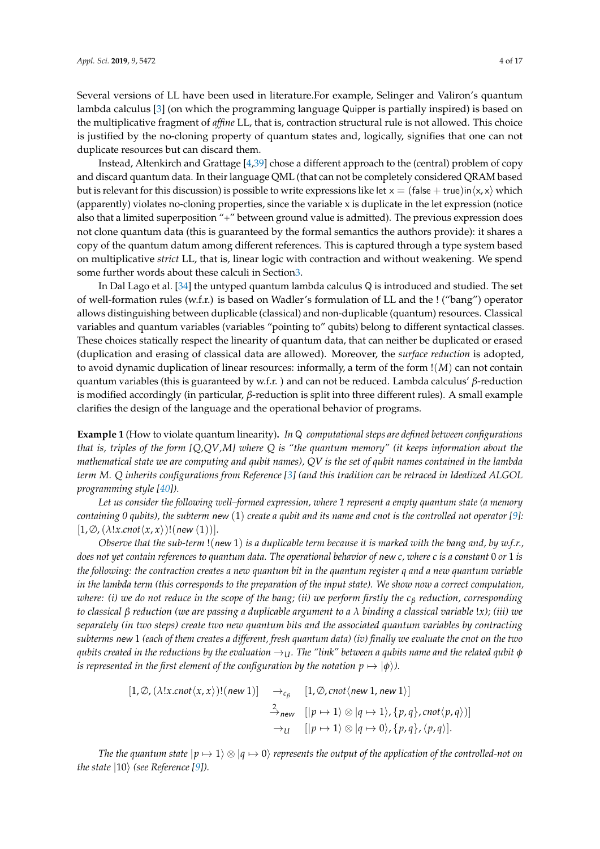Several versions of LL have been used in literature.For example, Selinger and Valiron's quantum lambda calculus [\[3\]](#page-14-8) (on which the programming language Quipper is partially inspired) is based on the multiplicative fragment of *affine* LL, that is, contraction structural rule is not allowed. This choice is justified by the no-cloning property of quantum states and, logically, signifies that one can not duplicate resources but can discard them.

Instead, Altenkirch and Grattage [\[4,](#page-14-17)[39\]](#page-15-13) chose a different approach to the (central) problem of copy and discard quantum data. In their language QML (that can not be completely considered QRAM based but is relevant for this discussion) is possible to write expressions like let  $x = (false + true)$  in $\langle x, x \rangle$  which (apparently) violates no-cloning properties, since the variable x is duplicate in the let expression (notice also that a limited superposition "+" between ground value is admitted). The previous expression does not clone quantum data (this is guaranteed by the formal semantics the authors provide): it shares a copy of the quantum datum among different references. This is captured through a type system based on multiplicative *strict* LL, that is, linear logic with contraction and without weakening. We spend some further words about these calculi in Sectio[n3.](#page-4-0)

In Dal Lago et al. [\[34\]](#page-15-11) the untyped quantum lambda calculus Q is introduced and studied. The set of well-formation rules (w.f.r.) is based on Wadler's formulation of LL and the ! ("bang") operator allows distinguishing between duplicable (classical) and non-duplicable (quantum) resources. Classical variables and quantum variables (variables "pointing to" qubits) belong to different syntactical classes. These choices statically respect the linearity of quantum data, that can neither be duplicated or erased (duplication and erasing of classical data are allowed). Moreover, the *surface reduction* is adopted, to avoid dynamic duplication of linear resources: informally, a term of the form !(*M*) can not contain quantum variables (this is guaranteed by w.f.r. ) and can not be reduced. Lambda calculus' *β*-reduction is modified accordingly (in particular, *β*-reduction is split into three different rules). A small example clarifies the design of the language and the operational behavior of programs.

<span id="page-3-0"></span>**Example 1** (How to violate quantum linearity)**.** *In* Q *computational steps are defined between configurations that is, triples of the form [Q,QV,M] where Q is "the quantum memory" (it keeps information about the mathematical state we are computing and qubit names), QV is the set of qubit names contained in the lambda term M. Q inherits configurations from Reference [\[3\]](#page-14-8) (and this tradition can be retraced in Idealized ALGOL programming style [\[40\]](#page-15-14)).*

*Let us consider the following well–formed expression, where 1 represent a empty quantum state (a memory containing 0 qubits), the subterm* new (1) *create a qubit and its name and cnot is the controlled not operator [\[9\]](#page-14-3):*  $[1, \emptyset, (\lambda!x \cdot \text{cnot}\langle x, x\rangle)!(\text{new}(1))].$ 

*Observe that the sub-term* !(new 1) *is a duplicable term because it is marked with the bang and, by w.f.r., does not yet contain references to quantum data. The operational behavior of* new *c, where c is a constant* 0 *or* 1 *is the following: the contraction creates a new quantum bit in the quantum register q and a new quantum variable in the lambda term (this corresponds to the preparation of the input state). We show now a correct computation, where: (i) we do not reduce in the scope of the bang; (ii) we perform firstly the c<sup>β</sup> reduction, corresponding to classical β reduction (we are passing a duplicable argument to a λ binding a classical variable* !*x); (iii) we separately (in two steps) create two new quantum bits and the associated quantum variables by contracting subterms* new 1 *(each of them creates a different, fresh quantum data) (iv) finally we evaluate the cnot on the two qubits created in the reductions by the evaluation*  $\rightarrow_U$ *. The "link" between a qubits name and the related qubit*  $\phi$ *is represented in the first element of the configuration by the notation*  $p \mapsto |\phi\rangle$ *).* 

$$
[1, \emptyset, (\lambda!x.\text{cnot}\langle x, x\rangle)!(\text{new } 1)] \rightarrow_{c_{\beta}} [1, \emptyset, \text{cnot}\langle \text{new } 1, \text{new } 1\rangle]
$$
  

$$
\xrightarrow{2}_{\text{new}} [|p \mapsto 1\rangle \otimes |q \mapsto 1\rangle, \{p, q\}, \text{cnot}\langle p, q\rangle)]
$$
  

$$
\rightarrow_{U} [|p \mapsto 1\rangle \otimes |q \mapsto 0\rangle, \{p, q\}, \langle p, q\rangle].
$$

*The the quantum state*  $|p \mapsto 1\rangle \otimes |q \mapsto 0\rangle$  *represents the output of the application of the controlled-not on the state*  $|10\rangle$  *(see Reference [\[9\]](#page-14-3)).*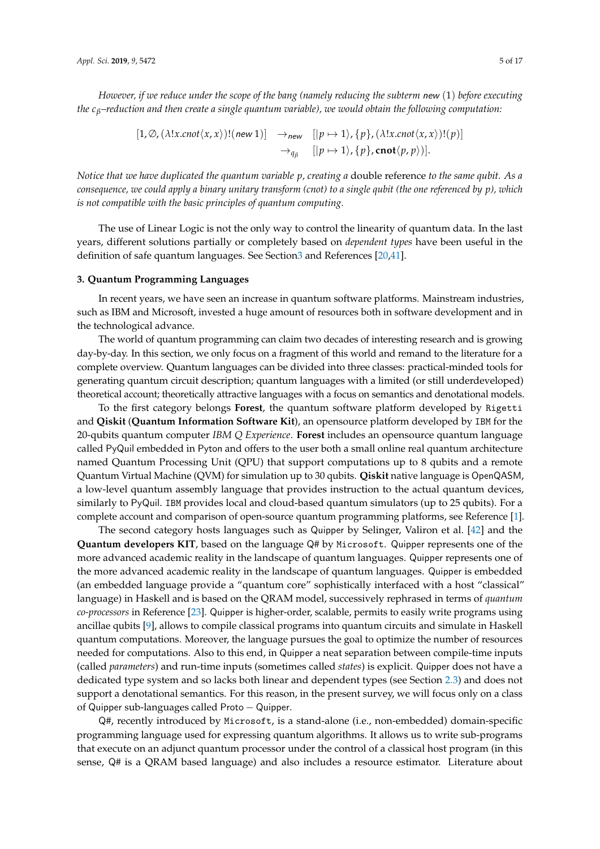*However, if we reduce under the scope of the bang (namely reducing the subterm* new (1) *before executing the cβ–reduction and then create a single quantum variable), we would obtain the following computation:*

> $[1, \emptyset, (\lambda!x \cdot \text{const} \langle x, x \rangle)!(\text{new 1})] \rightarrow_{\text{new }} [[p \mapsto 1\rangle, \{p\}, (\lambda!x \cdot \text{const} \langle x, x \rangle)! (p)]$  $\rightarrow_{q_{\beta}}$  [|p  $\mapsto$  1 $\rangle$ , {p}, cnot $\langle p, p \rangle$ ].

*Notice that we have duplicated the quantum variable p, creating a* double reference *to the same qubit. As a consequence, we could apply a binary unitary transform (cnot) to a single qubit (the one referenced by p), which is not compatible with the basic principles of quantum computing.*

The use of Linear Logic is not the only way to control the linearity of quantum data. In the last years, different solutions partially or completely based on *dependent types* have been useful in the definition of safe quantum languages. See Sectio[n3](#page-4-0) and References [\[20,](#page-14-13)[41\]](#page-15-15).

## <span id="page-4-0"></span>**3. Quantum Programming Languages**

In recent years, we have seen an increase in quantum software platforms. Mainstream industries, such as IBM and Microsoft, invested a huge amount of resources both in software development and in the technological advance.

The world of quantum programming can claim two decades of interesting research and is growing day-by-day. In this section, we only focus on a fragment of this world and remand to the literature for a complete overview. Quantum languages can be divided into three classes: practical-minded tools for generating quantum circuit description; quantum languages with a limited (or still underdeveloped) theoretical account; theoretically attractive languages with a focus on semantics and denotational models.

To the first category belongs **Forest**, the quantum software platform developed by Rigetti and **Qiskit** (**Quantum Information Software Kit**), an opensource platform developed by IBM for the 20-qubits quantum computer *IBM Q Experience*. **Forest** includes an opensource quantum language called PyQuil embedded in Pyton and offers to the user both a small online real quantum architecture named Quantum Processing Unit (QPU) that support computations up to 8 qubits and a remote Quantum Virtual Machine (QVM) for simulation up to 30 qubits. **Qiskit** native language is OpenQASM, a low-level quantum assembly language that provides instruction to the actual quantum devices, similarly to PyQuil. IBM provides local and cloud-based quantum simulators (up to 25 qubits). For a complete account and comparison of open-source quantum programming platforms, see Reference [\[1\]](#page-14-0).

The second category hosts languages such as Quipper by Selinger, Valiron et al. [\[42\]](#page-15-16) and the **Quantum developers KIT**, based on the language Q# by Microsoft. Quipper represents one of the more advanced academic reality in the landscape of quantum languages. Quipper represents one of the more advanced academic reality in the landscape of quantum languages. Quipper is embedded (an embedded language provide a "quantum core" sophistically interfaced with a host "classical" language) in Haskell and is based on the QRAM model, successively rephrased in terms of *quantum co-processors* in Reference [\[23\]](#page-15-0). Quipper is higher-order, scalable, permits to easily write programs using ancillae qubits [\[9\]](#page-14-3), allows to compile classical programs into quantum circuits and simulate in Haskell quantum computations. Moreover, the language pursues the goal to optimize the number of resources needed for computations. Also to this end, in Quipper a neat separation between compile-time inputs (called *parameters*) and run-time inputs (sometimes called *states*) is explicit. Quipper does not have a dedicated type system and so lacks both linear and dependent types (see Section [2.3\)](#page-2-1) and does not support a denotational semantics. For this reason, in the present survey, we will focus only on a class of Quipper sub-languages called Proto − Quipper.

Q#, recently introduced by Microsoft, is a stand-alone (i.e., non-embedded) domain-specific programming language used for expressing quantum algorithms. It allows us to write sub-programs that execute on an adjunct quantum processor under the control of a classical host program (in this sense, Q# is a QRAM based language) and also includes a resource estimator. Literature about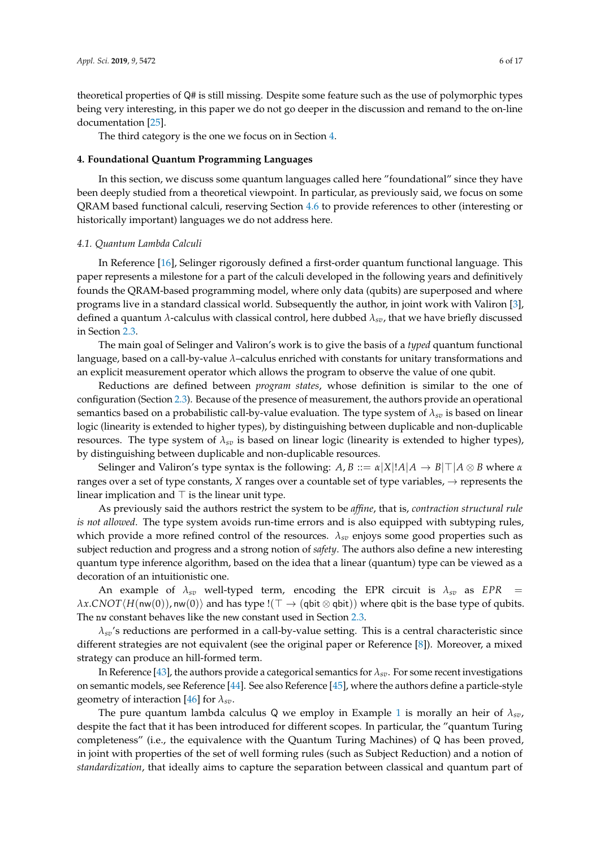theoretical properties of Q# is still missing. Despite some feature such as the use of polymorphic types being very interesting, in this paper we do not go deeper in the discussion and remand to the on-line documentation [\[25\]](#page-15-2).

The third category is the one we focus on in Section [4.](#page-5-0)

## <span id="page-5-0"></span>**4. Foundational Quantum Programming Languages**

In this section, we discuss some quantum languages called here "foundational" since they have been deeply studied from a theoretical viewpoint. In particular, as previously said, we focus on some QRAM based functional calculi, reserving Section [4.6](#page-12-0) to provide references to other (interesting or historically important) languages we do not address here.

#### *4.1. Quantum Lambda Calculi*

In Reference [\[16\]](#page-14-9), Selinger rigorously defined a first-order quantum functional language. This paper represents a milestone for a part of the calculi developed in the following years and definitively founds the QRAM-based programming model, where only data (qubits) are superposed and where programs live in a standard classical world. Subsequently the author, in joint work with Valiron [\[3\]](#page-14-8), defined a quantum *λ*-calculus with classical control, here dubbed *λsv*, that we have briefly discussed in Section [2.3.](#page-2-1)

The main goal of Selinger and Valiron's work is to give the basis of a *typed* quantum functional language, based on a call-by-value *λ*–calculus enriched with constants for unitary transformations and an explicit measurement operator which allows the program to observe the value of one qubit.

Reductions are defined between *program states*, whose definition is similar to the one of configuration (Section [2.3\)](#page-2-1). Because of the presence of measurement, the authors provide an operational semantics based on a probabilistic call-by-value evaluation. The type system of  $\lambda_{sv}$  is based on linear logic (linearity is extended to higher types), by distinguishing between duplicable and non-duplicable resources. The type system of *λsv* is based on linear logic (linearity is extended to higher types), by distinguishing between duplicable and non-duplicable resources.

Selinger and Valiron's type syntax is the following:  $A, B ::= \alpha |X|!A|A \rightarrow B|\top|A \otimes B$  where  $\alpha$ ranges over a set of type constants, *X* ranges over a countable set of type variables,  $\rightarrow$  represents the linear implication and  $\top$  is the linear unit type.

As previously said the authors restrict the system to be *affine*, that is, *contraction structural rule is not allowed*. The type system avoids run-time errors and is also equipped with subtyping rules, which provide a more refined control of the resources.  $\lambda_{\rm sp}$  enjoys some good properties such as subject reduction and progress and a strong notion of *safety*. The authors also define a new interesting quantum type inference algorithm, based on the idea that a linear (quantum) type can be viewed as a decoration of an intuitionistic one.

An example of  $\lambda_{sp}$  well-typed term, encoding the EPR circuit is  $\lambda_{sp}$  as *EPR* =  $\lambda$ *x*.*CNOT* $\langle H(\text{nw}(0)), \text{nw}(0) \rangle$  and has type !( $\top \rightarrow (\text{qbit} \otimes \text{qbit})$ ) where  $\text{qbit}$  is the base type of qubits. The nw constant behaves like the new constant used in Section [2.3.](#page-2-1)

*λsv*'s reductions are performed in a call-by-value setting. This is a central characteristic since different strategies are not equivalent (see the original paper or Reference [\[8\]](#page-14-2)). Moreover, a mixed strategy can produce an hill-formed term.

In Reference [\[43\]](#page-15-17), the authors provide a categorical semantics for  $\lambda_{sv}$ . For some recent investigations on semantic models, see Reference [\[44\]](#page-15-18). See also Reference [\[45\]](#page-16-0), where the authors define a particle-style geometry of interaction [\[46\]](#page-16-1) for *λsv*.

The pure quantum lambda calculus Q we employ in Example [1](#page-3-0) is morally an heir of *λsv*, despite the fact that it has been introduced for different scopes. In particular, the "quantum Turing completeness" (i.e., the equivalence with the Quantum Turing Machines) of Q has been proved, in joint with properties of the set of well forming rules (such as Subject Reduction) and a notion of *standardization*, that ideally aims to capture the separation between classical and quantum part of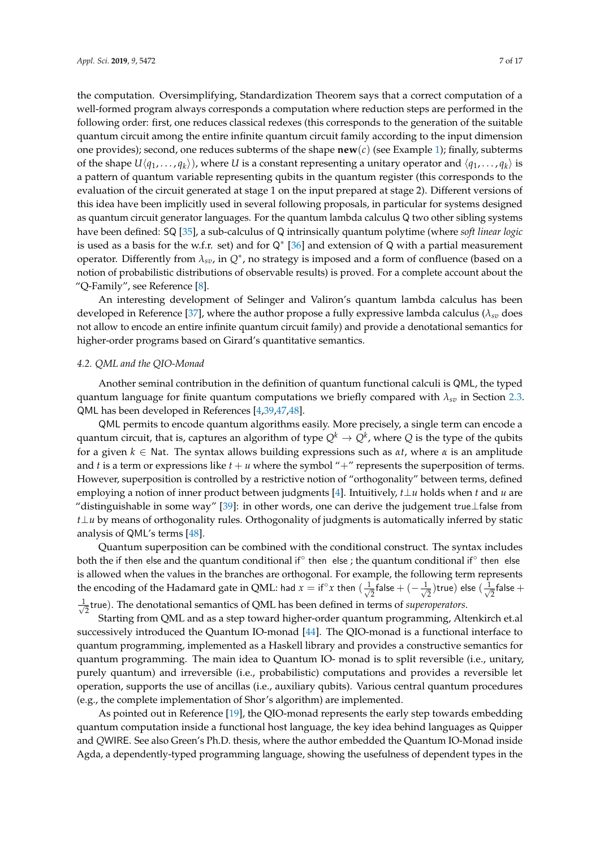the computation. Oversimplifying, Standardization Theorem says that a correct computation of a well-formed program always corresponds a computation where reduction steps are performed in the following order: first, one reduces classical redexes (this corresponds to the generation of the suitable quantum circuit among the entire infinite quantum circuit family according to the input dimension one provides); second, one reduces subterms of the shape **new**(*c*) (see Example [1\)](#page-3-0); finally, subterms of the shape  $U\langle q_1, \ldots, q_k \rangle$ ), where *U* is a constant representing a unitary operator and  $\langle q_1, \ldots, q_k \rangle$  is a pattern of quantum variable representing qubits in the quantum register (this corresponds to the evaluation of the circuit generated at stage 1 on the input prepared at stage 2). Different versions of this idea have been implicitly used in several following proposals, in particular for systems designed as quantum circuit generator languages. For the quantum lambda calculus Q two other sibling systems have been defined: SQ [\[35\]](#page-15-19), a sub-calculus of Q intrinsically quantum polytime (where *soft linear logic* is used as a basis for the w.f.r. set) and for Q∗ [\[36\]](#page-15-20) and extension of Q with a partial measurement operator. Differently from *λsv*, in *Q*∗ , no strategy is imposed and a form of confluence (based on a notion of probabilistic distributions of observable results) is proved. For a complete account about the "Q-Family", see Reference [\[8\]](#page-14-2).

An interesting development of Selinger and Valiron's quantum lambda calculus has been developed in Reference [\[37\]](#page-15-21), where the author propose a fully expressive lambda calculus ( $\lambda_{sv}$  does not allow to encode an entire infinite quantum circuit family) and provide a denotational semantics for higher-order programs based on Girard's quantitative semantics.

#### *4.2. QML and the QIO-Monad*

Another seminal contribution in the definition of quantum functional calculi is QML, the typed quantum language for finite quantum computations we briefly compared with  $\lambda_{sv}$  in Section [2.3.](#page-2-1) QML has been developed in References [\[4](#page-14-17)[,39](#page-15-13)[,47](#page-16-2)[,48\]](#page-16-3).

QML permits to encode quantum algorithms easily. More precisely, a single term can encode a quantum circuit, that is, captures an algorithm of type  $Q^k \to Q^k$ , where  $Q$  is the type of the qubits for a given  $k \in \mathbb{N}$ at. The syntax allows building expressions such as  $\alpha t$ , where  $\alpha$  is an amplitude and *t* is a term or expressions like  $t + u$  where the symbol "+" represents the superposition of terms. However, superposition is controlled by a restrictive notion of "orthogonality" between terms, defined employing a notion of inner product between judgments [\[4\]](#page-14-17). Intuitively, *t*⊥*u* holds when *t* and *u* are "distinguishable in some way" [\[39\]](#page-15-13): in other words, one can derive the judgement true⊥false from *t*⊥*u* by means of orthogonality rules. Orthogonality of judgments is automatically inferred by static analysis of QML's terms [\[48\]](#page-16-3).

Quantum superposition can be combined with the conditional construct. The syntax includes both the if then else and the quantum conditional if $^{\circ}$  then  $\,$  else ; the quantum conditional if $^{\circ}$  then  $\,$  else is allowed when the values in the branches are orthogonal. For example, the following term represents the encoding of the Hadamard gate in QML: had  $x = if^{\circ}x$  then  $\left(\frac{1}{\sqrt{2}}\right)$  $\frac{1}{2}$ false +  $(-\frac{1}{\sqrt{2}})$  $(\frac{1}{2})$ true) else ( $\frac{1}{\sqrt{2}}$  $\frac{1}{2}$ false  $+$ √ 1 2 true). The denotational semantics of QML has been defined in terms of *superoperators*.

Starting from QML and as a step toward higher-order quantum programming, Altenkirch et.al successively introduced the Quantum IO-monad [\[44\]](#page-15-18). The QIO-monad is a functional interface to quantum programming, implemented as a Haskell library and provides a constructive semantics for quantum programming. The main idea to Quantum IO- monad is to split reversible (i.e., unitary, purely quantum) and irreversible (i.e., probabilistic) computations and provides a reversible let operation, supports the use of ancillas (i.e., auxiliary qubits). Various central quantum procedures (e.g., the complete implementation of Shor's algorithm) are implemented.

As pointed out in Reference [\[19\]](#page-14-12), the QIO-monad represents the early step towards embedding quantum computation inside a functional host language, the key idea behind languages as Quipper and *Q*WIRE. See also Green's Ph.D. thesis, where the author embedded the Quantum IO-Monad inside Agda, a dependently-typed programming language, showing the usefulness of dependent types in the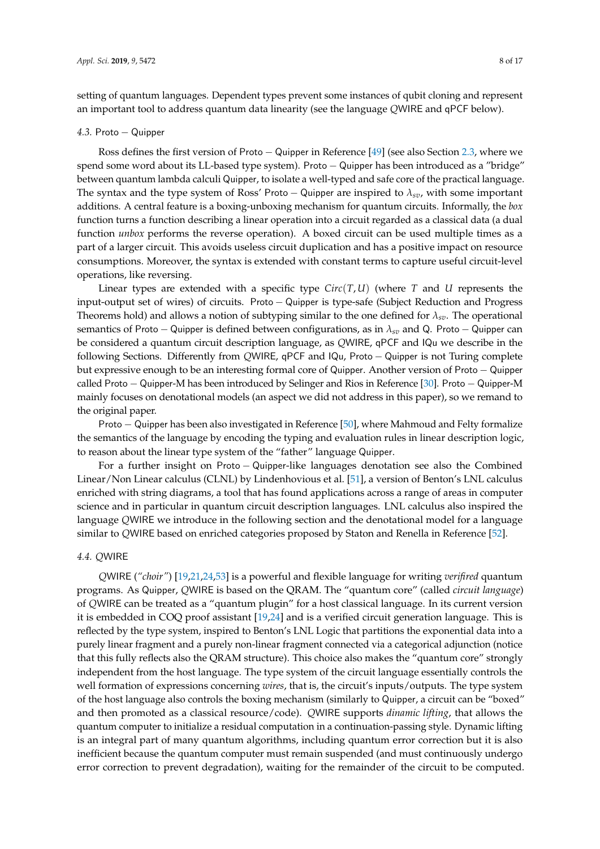setting of quantum languages. Dependent types prevent some instances of qubit cloning and represent an important tool to address quantum data linearity (see the language *Q*WIRE and qPCF below).

#### *4.3.* Proto − Quipper

Ross defines the first version of Proto − Quipper in Reference [\[49\]](#page-16-4) (see also Section [2.3,](#page-2-1) where we spend some word about its LL-based type system). Proto – Quipper has been introduced as a "bridge" between quantum lambda calculi Quipper, to isolate a well-typed and safe core of the practical language. The syntax and the type system of Ross' Proto − Quipper are inspired to *λsv*, with some important additions. A central feature is a boxing-unboxing mechanism for quantum circuits. Informally, the *box* function turns a function describing a linear operation into a circuit regarded as a classical data (a dual function *unbox* performs the reverse operation). A boxed circuit can be used multiple times as a part of a larger circuit. This avoids useless circuit duplication and has a positive impact on resource consumptions. Moreover, the syntax is extended with constant terms to capture useful circuit-level operations, like reversing.

Linear types are extended with a specific type *Circ*(*T*,*U*) (where *T* and *U* represents the input-output set of wires) of circuits. Proto − Quipper is type-safe (Subject Reduction and Progress Theorems hold) and allows a notion of subtyping similar to the one defined for  $\lambda_{sv}$ . The operational semantics of Proto − Quipper is defined between configurations, as in *λsv* and Q. Proto − Quipper can be considered a quantum circuit description language, as *Q*WIRE, qPCF and IQu we describe in the following Sections. Differently from *Q*WIRE, qPCF and IQu, Proto − Quipper is not Turing complete but expressive enough to be an interesting formal core of Quipper. Another version of Proto − Quipper called Proto − Quipper-M has been introduced by Selinger and Rios in Reference [\[30\]](#page-15-7). Proto − Quipper-M mainly focuses on denotational models (an aspect we did not address in this paper), so we remand to the original paper.

Proto − Quipper has been also investigated in Reference [\[50\]](#page-16-5), where Mahmoud and Felty formalize the semantics of the language by encoding the typing and evaluation rules in linear description logic, to reason about the linear type system of the "father" language Quipper.

For a further insight on Proto − Quipper-like languages denotation see also the Combined Linear/Non Linear calculus (CLNL) by Lindenhovious et al. [\[51\]](#page-16-6), a version of Benton's LNL calculus enriched with string diagrams, a tool that has found applications across a range of areas in computer science and in particular in quantum circuit description languages. LNL calculus also inspired the language *Q*WIRE we introduce in the following section and the denotational model for a language similar to *Q*WIRE based on enriched categories proposed by Staton and Renella in Reference [\[52\]](#page-16-7).

## *4.4. Q*WIRE

*Q*WIRE (*"choir"*) [\[19,](#page-14-12)[21,](#page-14-14)[24,](#page-15-1)[53\]](#page-16-8) is a powerful and flexible language for writing *verifired* quantum programs. As Quipper, *Q*WIRE is based on the QRAM. The "quantum core" (called *circuit language*) of *Q*WIRE can be treated as a "quantum plugin" for a host classical language. In its current version it is embedded in COQ proof assistant [\[19,](#page-14-12)[24\]](#page-15-1) and is a verified circuit generation language. This is reflected by the type system, inspired to Benton's LNL Logic that partitions the exponential data into a purely linear fragment and a purely non-linear fragment connected via a categorical adjunction (notice that this fully reflects also the QRAM structure). This choice also makes the "quantum core" strongly independent from the host language. The type system of the circuit language essentially controls the well formation of expressions concerning *wires*, that is, the circuit's inputs/outputs. The type system of the host language also controls the boxing mechanism (similarly to Quipper, a circuit can be "boxed" and then promoted as a classical resource/code). *Q*WIRE supports *dinamic lifting*, that allows the quantum computer to initialize a residual computation in a continuation-passing style. Dynamic lifting is an integral part of many quantum algorithms, including quantum error correction but it is also inefficient because the quantum computer must remain suspended (and must continuously undergo error correction to prevent degradation), waiting for the remainder of the circuit to be computed.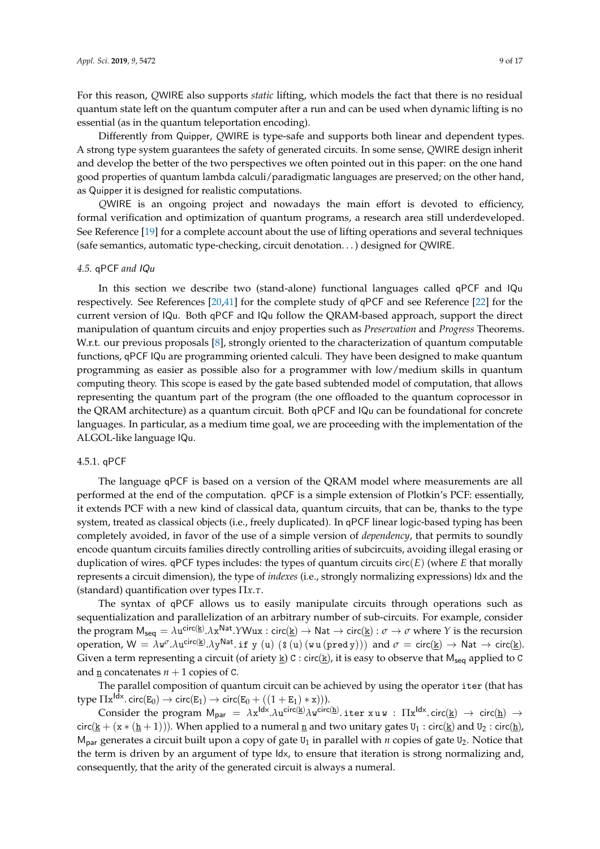For this reason, *Q*WIRE also supports *static* lifting, which models the fact that there is no residual quantum state left on the quantum computer after a run and can be used when dynamic lifting is no essential (as in the quantum teleportation encoding).

Differently from Quipper, *Q*WIRE is type-safe and supports both linear and dependent types. A strong type system guarantees the safety of generated circuits. In some sense, *Q*WIRE design inherit and develop the better of the two perspectives we often pointed out in this paper: on the one hand good properties of quantum lambda calculi/paradigmatic languages are preserved; on the other hand, as Quipper it is designed for realistic computations.

*Q*WIRE is an ongoing project and nowadays the main effort is devoted to efficiency, formal verification and optimization of quantum programs, a research area still underdeveloped. See Reference [\[19\]](#page-14-12) for a complete account about the use of lifting operations and several techniques (safe semantics, automatic type-checking, circuit denotation. . . ) designed for *Q*WIRE.

## *4.5.* qPCF *and* IQu

In this section we describe two (stand-alone) functional languages called qPCF and IQu respectively. See References [\[20](#page-14-13)[,41\]](#page-15-15) for the complete study of qPCF and see Reference [\[22\]](#page-14-15) for the current version of IQu. Both qPCF and IQu follow the QRAM-based approach, support the direct manipulation of quantum circuits and enjoy properties such as *Preservation* and *Progress* Theorems. W.r.t. our previous proposals [\[8\]](#page-14-2), strongly oriented to the characterization of quantum computable functions, qPCF IQu are programming oriented calculi. They have been designed to make quantum programming as easier as possible also for a programmer with low/medium skills in quantum computing theory. This scope is eased by the gate based subtended model of computation, that allows representing the quantum part of the program (the one offloaded to the quantum coprocessor in the QRAM architecture) as a quantum circuit. Both qPCF and IQu can be foundational for concrete languages. In particular, as a medium time goal, we are proceeding with the implementation of the ALGOL-like language IQu.

## 4.5.1. qPCF

The language qPCF is based on a version of the QRAM model where measurements are all performed at the end of the computation. qPCF is a simple extension of Plotkin's PCF: essentially, it extends PCF with a new kind of classical data, quantum circuits, that can be, thanks to the type system, treated as classical objects (i.e., freely duplicated). In qPCF linear logic-based typing has been completely avoided, in favor of the use of a simple version of *dependency*, that permits to soundly encode quantum circuits families directly controlling arities of subcircuits, avoiding illegal erasing or duplication of wires.  $q$ PCF types includes: the types of quantum circuits circ $(E)$  (where  $E$  that morally represents a circuit dimension), the type of *indexes* (i.e., strongly normalizing expressions) Idx and the (standard) quantification over types Π*x*.*τ*.

The syntax of qPCF allows us to easily manipulate circuits through operations such as sequentialization and parallelization of an arbitrary number of sub-circuits. For example, consider the program  $M_{seq} = \lambda u^{circ(k)} \cdot \lambda x^{Nat} \cdot YWux : circ(k) \rightarrow Nat \rightarrow circ(k) : \sigma \rightarrow \sigma$  where *Y* is the recursion operation,  $W = \lambda w^{\sigma}.\lambda u^{\text{circ}(\underline{k})}.\lambda y^{\text{Nat}}.$  if y (u)  $($ s (u) (w u (pred y))) and  $\sigma = \text{circ}(\underline{k}) \rightarrow \text{Nat} \rightarrow \text{circ}(\underline{k})$ . Given a term representing a circuit (of ariety  $\underline{k}$ ) C : circ( $\underline{k}$ ), it is easy to observe that  $M_{seq}$  applied to C and n concatenates  $n + 1$  copies of C.

The parallel composition of quantum circuit can be achieved by using the operator iter (that has type  $\Pi$ x<sup>ldx</sup>. circ(E<sub>0</sub>)  $\rightarrow$  circ(E<sub>1</sub>)  $\rightarrow$  circ(E<sub>0</sub> + ((1 + E<sub>1</sub>) \* x))).

Consider the program  $M_{par} = \lambda x^{ldx}.\lambda u^{circ(k)}\lambda w^{circ(l)}$  iter  $x \, u \, w$  :  $\Pi x^{ldx}.\text{circ(l)} \rightarrow \text{circ(l)} \rightarrow$ circ(k + (x \* (h + 1))). When applied to a numeral n and two unitary gates  $U_1$  : circ(k) and  $U_2$  : circ(h),  $M<sub>par</sub>$  generates a circuit built upon a copy of gate U<sub>1</sub> in parallel with *n* copies of gate U<sub>2</sub>. Notice that the term is driven by an argument of type Idx, to ensure that iteration is strong normalizing and, consequently, that the arity of the generated circuit is always a numeral.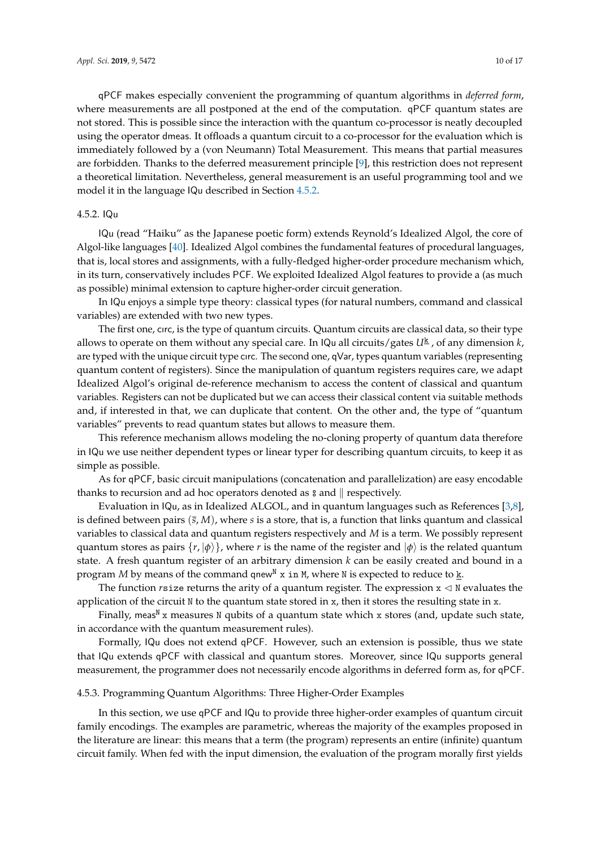qPCF makes especially convenient the programming of quantum algorithms in *deferred form*, where measurements are all postponed at the end of the computation. qPCF quantum states are not stored. This is possible since the interaction with the quantum co-processor is neatly decoupled using the operator dmeas. It offloads a quantum circuit to a co-processor for the evaluation which is immediately followed by a (von Neumann) Total Measurement. This means that partial measures are forbidden. Thanks to the deferred measurement principle [\[9\]](#page-14-3), this restriction does not represent a theoretical limitation. Nevertheless, general measurement is an useful programming tool and we model it in the language IQu described in Section [4.5.2.](#page-9-1)

## <span id="page-9-1"></span>4.5.2. IQu

IQu (read "Haiku" as the Japanese poetic form) extends Reynold's Idealized Algol, the core of Algol-like languages [\[40\]](#page-15-14). Idealized Algol combines the fundamental features of procedural languages, that is, local stores and assignments, with a fully-fledged higher-order procedure mechanism which, in its turn, conservatively includes PCF. We exploited Idealized Algol features to provide a (as much as possible) minimal extension to capture higher-order circuit generation.

In IQu enjoys a simple type theory: classical types (for natural numbers, command and classical variables) are extended with two new types.

The first one, cırc, is the type of quantum circuits. Quantum circuits are classical data, so their type allows to operate on them without any special care. In IQu all circuits/gates U<sup>k</sup> , of any dimension *k*, are typed with the unique circuit type cırc. The second one, qVar, types quantum variables (representing quantum content of registers). Since the manipulation of quantum registers requires care, we adapt Idealized Algol's original de-reference mechanism to access the content of classical and quantum variables. Registers can not be duplicated but we can access their classical content via suitable methods and, if interested in that, we can duplicate that content. On the other and, the type of "quantum variables" prevents to read quantum states but allows to measure them.

This reference mechanism allows modeling the no-cloning property of quantum data therefore in IQu we use neither dependent types or linear typer for describing quantum circuits, to keep it as simple as possible.

As for qPCF, basic circuit manipulations (concatenation and parallelization) are easy encodable thanks to recursion and ad hoc operators denoted as  $\alpha$  and  $\beta$  respectively.

Evaluation in IQu, as in Idealized ALGOL, and in quantum languages such as References [\[3,](#page-14-8)[8\]](#page-14-2), is defined between pairs (*s*, *M*), where *s* is a store, that is, a function that links quantum and classical variables to classical data and quantum registers respectively and *M* is a term. We possibly represent quantum stores as pairs  $\{r, |\phi\rangle\}$ , where *r* is the name of the register and  $|\phi\rangle$  is the related quantum state. A fresh quantum register of an arbitrary dimension *k* can be easily created and bound in a program *M* by means of the command qnew<sup>N</sup> x in *M*, where N is expected to reduce to k.

The function *r*size returns the arity of a quantum register. The expression  $x \leq N$  evaluates the application of the circuit N to the quantum state stored in x, then it stores the resulting state in x.

Finally, meas<sup>N</sup> x measures N qubits of a quantum state which x stores (and, update such state, in accordance with the quantum measurement rules).

Formally, IQu does not extend qPCF. However, such an extension is possible, thus we state that IQu extends qPCF with classical and quantum stores. Moreover, since IQu supports general measurement, the programmer does not necessarily encode algorithms in deferred form as, for qPCF.

## <span id="page-9-0"></span>4.5.3. Programming Quantum Algorithms: Three Higher-Order Examples

In this section, we use qPCF and IQu to provide three higher-order examples of quantum circuit family encodings. The examples are parametric, whereas the majority of the examples proposed in the literature are linear: this means that a term (the program) represents an entire (infinite) quantum circuit family. When fed with the input dimension, the evaluation of the program morally first yields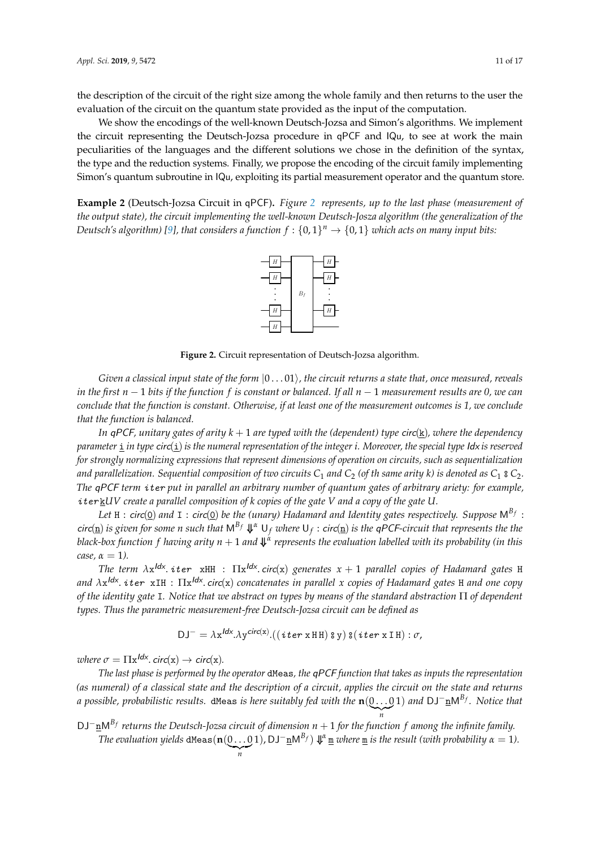the description of the circuit of the right size among the whole family and then returns to the user the evaluation of the circuit on the quantum state provided as the input of the computation.

We show the encodings of the well-known Deutsch-Jozsa and Simon's algorithms. We implement the circuit representing the Deutsch-Jozsa procedure in qPCF and IQu, to see at work the main peculiarities of the languages and the different solutions we chose in the definition of the syntax,  $\,$ the type and the reduction systems. Finally, we propose the encoding of the circuit family implementing Simon's quantum subroutine in IQu, exploiting its partial measurement operator and the quantum store.

<span id="page-10-0"></span>Example [2](#page-10-0) (Deutsch-Jozsa Circuit in qPCF). Figure 2 represents, up to the last phase (measurement of the output state), the circuit implementing the well-known Deutsch-Josza algorithm (the generalization of the Deutsch's algorithm) [\[9\]](#page-14-3), that considers a function  $f: \{0,1\}^n \to \{0,1\}$  which acts on many input bits:



Figure 2. Circuit representation of Deutsch-Jozsa algorithm.

Given a classical input state of the form  $|0\ldots01\rangle$ , the circuit returns a state that, once measured, reveals <sup>H</sup> <sup>|</sup>a⟩ <sup>=</sup> <sup>1</sup> 1 (−1)<sup>a</sup> <sup>|</sup>1⟩, *in the first n* − 1 *bits if the function f is constant or balanced. If all n* − 1 *measurement results are 0, we can* √ 2 |0⟩ + √ 2 *conclude that the function is constant. Otherwise, if at least one of the measurement outcomes is 1, we conclude*  $w = c$  with write as  $w = c$ *that the function is balanced.*

*In* qPCF, unitary gates of arity  $k + 1$  are typed with the (dependent) type circ(<u>k</u>), where the dependency .<br>for strongly normalizing expressions that represent dimensions of operation on circuits, such as sequentialization *parameter*  $\underline{\textbf{i}}$  *in type* circ( $\underline{\textbf{i}}$ ) *is the numeral representation of the integer i. Moreover, the special type* Idx *is reserved* and parallelization. Sequential composition of two circuits  $C_1$  and  $C_2$  (of th same arity k) is denoted as  $C_1$   $\frac{1}{2}$   $C_2$ . *The* qPCF *term* iter *put in parallel an arbitrary number of quantum gates of arbitrary ariety: for example,* iter k*UV create a parallel composition of k copies of the gate V and a copy of the gate U.*

Let  ${\tt H}$  :  ${\sf circ}(\underline{0})$  and  ${\tt I}$  :  ${\sf circ}(\underline{0})$  be the (unary) Hadamard and Identity gates respectively. Suppose  ${\sf M}^{B_f}$  :  $circ(\underline{n})$  *is given for some n such that*  $M^{B_f} \Downarrow^{\alpha} U_f$  *where*  $U_f$  :  $circ(\underline{n})$  *is the qPCF-circuit that represents the the black-box function f having arity n* + 1 *and* ⇓ *α represents the evaluation labelled with its probability (in this case*,  $\alpha = 1$ *).* 

*The term λ*x Idx . iter xHH : Πx Idx . circ(x) *generates x* + 1 *parallel copies of Hadamard gates* H *and λ*x Idx . iter xIH : Πx Idx . circ(x) *concatenates in parallel x copies of Hadamard gates* H *and one copy of the identity gate* I*. Notice that we abstract on types by means of the standard abstraction* Π *of dependent types. Thus the parametric measurement-free Deutsch-Jozsa circuit can be defined as*

$$
DJ^{-} = \lambda x^{ldx}.\lambda y^{circ(x)}.((\text{iter xHH}) \text{ s y}) \text{ s}(\text{iter xIH}) : \sigma
$$

*where*  $\sigma = \Pi x^{ldx}$ . *circ*(x)  $\rightarrow$  *circ*(x).

*The last phase is performed by the operator* dMeas*, the* qPCF *function that takes as inputs the representation (as numeral) of a classical state and the description of a circuit, applies the circuit on the state and returns a possible, probabilistic results.* dMeas *is here suitably fed with the* **n**(0 . . . 0  $\sum_{n}$ 1) *and* DJ−nM *Bf . Notice that*

DJ−nM *<sup>B</sup><sup>f</sup> returns the Deutsch-Jozsa circuit of dimension n* + 1 *for the function f among the infinite family. The evaluation yields* <code>dMeas( $\mathbf{n}(0 \dots 0)$ </code>  $\sum_{n}$ **1**), DJ<sup> $-$ </sup>**<u>n</u></u>M<sup>***B***<sub>***f***</sub>)**  $\Downarrow$ **<sup>***α***</sup> <u><b>n**</u> *where* **<u>m</u></u>** *is the result (with probability**α* **= 1).**</sup>

*n*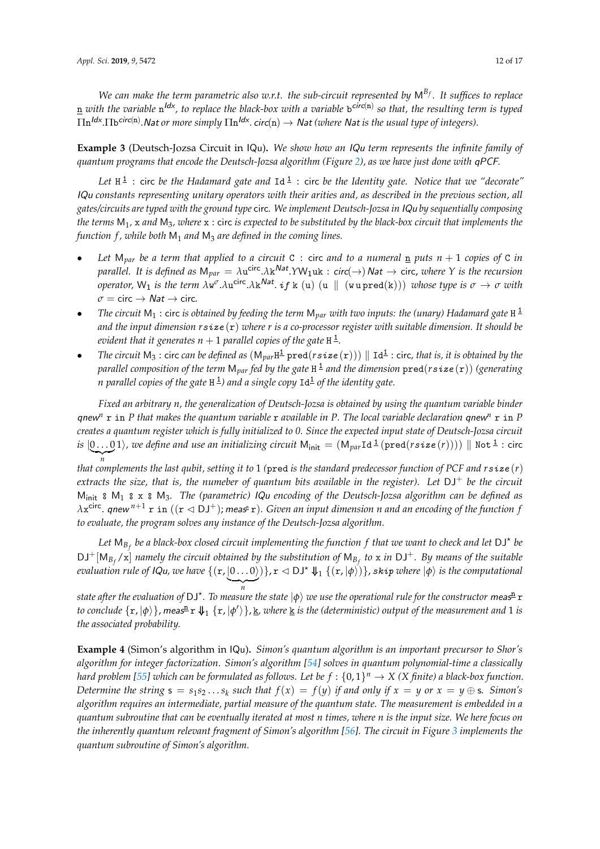*We can make the term parametric also w.r.t. the sub-circuit represented by* M *Bf . It suffices to replace*  $\underline{n}$  with the variable  $n^{ldx}$ , to replace the black-box with a variable  $b^{circ(n)}$  so that, the resulting term is typed  $\Pi$ n<sup>ldx</sup>.∏b<sup>circ(n)</sup>.Nat or more simply  $\Pi$ n<sup>ldx</sup>.circ(n) → Nat (where Nat is the usual type of integers).

**Example 3** (Deutsch-Jozsa Circuit in IQu)**.** *We show how an* IQu *term represents the infinite family of quantum programs that encode the Deutsch-Jozsa algorithm (Figure [2\)](#page-10-0), as we have just done with* qPCF*.*

Let  $H^{\perp}$ : circ *be the Hadamard gate and*  $Id^{\perp}$ : circ *be the Identity gate. Notice that we "decorate"* IQu *constants representing unitary operators with their arities and, as described in the previous section, all gates/circuits are typed with the ground type* circ*. We implement Deutsch-Jozsa in* IQu *by sequentially composing the terms* M1*,* x *and* M3*, where* x : circ *is expected to be substituted by the black-box circuit that implements the function f , while both* M<sup>1</sup> *and* M<sup>3</sup> *are defined in the coming lines.*

- *Let*  $M_{par}$  *be a term that applied to a circuit* C : circ *and to a numeral*  $\underline{n}$  *puts*  $n + 1$  *copies of* C *in*  $p$ arallel. It is defined as  $M_{par} = \lambda u^{circ} \lambda k^{Nat}$ .  $YW_1uk : circ(\rightarrow)$  Nat  $\rightarrow$  circ, *where*  $Y$  *is the recursion*  $\sigma$  *operator,* W<sub>1</sub> is the term  $\lambda w^{\sigma} \cdot \lambda u^{\text{circ}} \cdot \lambda k^{\text{Nat}}$ . if k (u) (u || (w u pred(k))) *whose type is*  $\sigma \to \sigma$  *with*  $\sigma$  = circ  $\rightarrow$  *Nat*  $\rightarrow$  circ.
- *The circuit* M<sup>1</sup> : circ *is obtained by feeding the term* M*par with two inputs: the (unary) Hadamard gate* H 1 *and the input dimension r*size (r) *where r is a co-processor register with suitable dimension. It should be* evident that it generates  $n+1$  parallel copies of the gate  ${\tt H\,^1}$ .
- *The circuit*  $M_3$ : circ *can be defined as*  $(M_{par}H^{\perp} \text{pred}(rsize(\mathbf{r}))) \parallel \text{Id}^{\perp}$ : circ, *that is, it is obtained by the parallel composition of the term* M*par fed by the gate* H 1 *and the dimension* pred(*r*size (r)) *(generating n parallel copies of the gate* H 1 *) and a single copy* Id<sup>1</sup> *of the identity gate.*

*Fixed an arbitrary n, the generalization of Deutsch-Jozsa is obtained by using the quantum variable binder* qnew<sup>n</sup>  $\bf{r}$  in *P* that makes the quantum variable  $\bf{r}$  available in *P*. The local variable declaration qnew<sup>n</sup>  $\bf{r}$  in *P creates a quantum register which is fully initialized to 0. Since the expected input state of Deutsch-Jozsa circuit* is  $[0...01\rangle$ , we define and use an initializing circuit  ${\sf M}_{\sf init}=( {\sf M}_{\it par}$ Id  $^{\sf \underline{1}}$   $({\sf pred}(rsize(r))))\parallel {\sf Not}$   $^{\sf \underline{1}}$  : circ  $\sum_{n}$ 

*that complements the last qubit, setting it to* 1 *(*pred *is the standard predecessor function of PCF and r*size (*r*) *extracts the size, that is, the numeber of quantum bits available in the register). Let* DJ<sup>+</sup> *be the circuit* Minit ⦂ M<sup>1</sup> ⦂ x ⦂ M3*. The (parametric)* IQu *encoding of the Deutsch-Jozsa algorithm can be defined as*  $λ$ x<sup>circ</sup>. qnew <sup>n+1</sup> r in ((r  $\lhd$  DJ<sup>+</sup>); meas<sup>n</sup> r). Given an input dimension n and an encoding of the function f *to evaluate, the program solves any instance of the Deutsch-Jozsa algorithm.*

Let  $\mathsf{M}_{B_f}$  be a black-box closed circuit implementing the function  $f$  that we want to check and let  $\mathsf{DJ}^\star$  be  $DJ^+[M_{B_f}/x]$  *namely the circuit obtained by the substitution of*  $M_{B_f}$  to x *in*  $DJ^+$ *. By means of the suitable*  $e$ valuation rule of IQu, we have  $\{({\tt r},[0\ldots0]\})\}$ ,  ${\tt r}\lhd {\sf DJ}^{\star}\Downarrow_1\{({\tt r},[\phi\rangle)\}$ , skip where  $|\phi\rangle$  is the computational  $\sum_{n}$ 

*n*<br>state after the evaluation of DJ\*. To measure the state  $|\phi\rangle$  we use the operational rule for the constructor meas<del>n</del> r to conclude  $\{\mathbf{r},\ket{\phi}\}$ , meas $^{\underline{n}}$   $\mathbf{r}$   $\Downarrow_1$   $\{\mathbf{r},\ket{\phi'}\}$ , <u>k</u>, where <u>k</u> is the (deterministic) output of the measurement and 1 is *the associated probability.*

**Example 4** (Simon's algorithm in IQu)**.** *Simon's quantum algorithm is an important precursor to Shor's algorithm for integer factorization. Simon's algorithm [\[54\]](#page-16-9) solves in quantum polynomial-time a classically hard problem [\[55\]](#page-16-10) which can be formulated as follows. Let be*  $f:\{0,1\}^n \to X$  *(X finite) a black-box function. Determine the string*  $\mathbf{s} = s_1 s_2 ... s_k$  *such that*  $f(x) = f(y)$  *if and only if*  $x = y$  *or*  $x = y \oplus \mathbf{s}$ *. Simon's algorithm requires an intermediate, partial measure of the quantum state. The measurement is embedded in a quantum subroutine that can be eventually iterated at most n times, where n is the input size. We here focus on the inherently quantum relevant fragment of Simon's algorithm [\[56\]](#page-16-11). The circuit in Figure [3](#page-12-1) implements the quantum subroutine of Simon's algorithm.*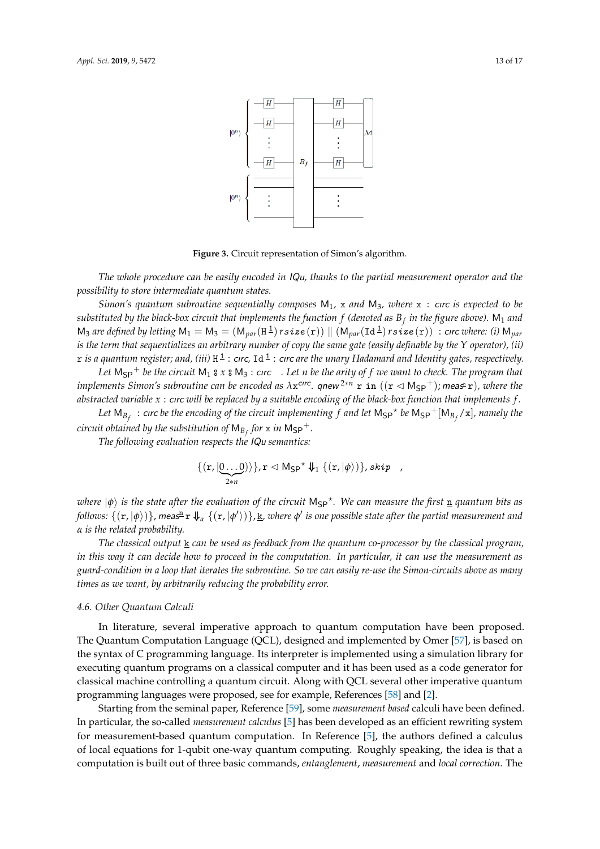<span id="page-12-1"></span>

**Figure 3.** Circuit representation of Simon's algorithm.

*The whole procedure can be easily encoded in* IQu*, thanks to the partial measurement operator and the possibility to store intermediate quantum states.*

*Simon's quantum subroutine sequentially composes*  $M_1$ , x and  $M_3$ , where x : circ *is expected to be*  $s$ ubstituted by the black-box circuit that implements the function  $f$  (denoted as  $B_f$  in the figure above).  $\mathsf{M}_1$  and  $M_3$  *are defined by letting*  $M_1 = M_3 = (M_{par}(H^{\perp})rsize(\mathbf{r})) \parallel (M_{par}(Id^{\perp})rsize(\mathbf{r}))$  : circ *where: (i)*  $M_{par}$ *is the term that sequentializes an arbitrary number of copy the same gate (easily definable by the Y operator), (ii)*  $\rm r$  is a quantum register; and, (iii)  $\rm H^{\pm}$  : cırc, Id  $^{\pm}$  : cırc are the unary Hadamard and Identity gates, respectively.

*Let* MSP <sup>+</sup> *be the circuit* M<sup>1</sup> ⦂ *x* ⦂ M<sup>3</sup> : cırc *. Let n be the arity of f we want to check. The program that implements Simon's subroutine can be encoded as λx<sup>cırc</sup>. qnew<sup>2∗n</sup> r in ((r < M<sub>SP</sub>+); measª r), where the abstracted variable x* : cırc *will be replaced by a suitable encoding of the black-box function that implements f .*

Let  $M_{B_f}$ : circ be the encoding of the circuit implementing  $f$  and let  $M_{SP}^{\star}$  be  $M_{SP}^+[M_{B_f}/x]$ , namely the *circuit obtained by the substitution of*  $\mathsf{M}_{B_f}$  *for*  $\mathbf x$  *in*  $\mathsf{M}_{\mathsf{SP}}{}^+$ *.* 

*The following evaluation respects the* IQu *semantics:*

$$
\{(r,|\underline{0...0})\}\}, r \lhd M_{\mathsf{SP}}^{\star} \Downarrow_1 \{(r,|\phi\rangle)\}, skip \quad ,
$$

*where*  $|\phi\rangle$  *is the state after the evaluation of the circuit M<sub>SP</sub>\*. We can measure the first <u>n</u> quantum bits as*  $f$ ollows:  $\{(\mathbf{r},|\phi\rangle)\}$ , meas $^{\underline{n}}$   $\mathbf{r}$   $\Downarrow$   $_{\alpha}$   $\{(\mathbf{r},|\phi'\rangle)\}$ ,  $\underline{\mathbf{k}}$ , where  $\phi'$  is one possible state after the partial measurement and *α is the related probability.*

*The classical output* **k** *can be used as feedback from the quantum co-processor by the classical program, in this way it can decide how to proceed in the computation. In particular, it can use the measurement as guard-condition in a loop that iterates the subroutine. So we can easily re-use the Simon-circuits above as many times as we want, by arbitrarily reducing the probability error.*

#### <span id="page-12-0"></span>*4.6. Other Quantum Calculi*

In literature, several imperative approach to quantum computation have been proposed. The Quantum Computation Language (QCL), designed and implemented by Omer [\[57\]](#page-16-12), is based on the syntax of C programming language. Its interpreter is implemented using a simulation library for executing quantum programs on a classical computer and it has been used as a code generator for classical machine controlling a quantum circuit. Along with QCL several other imperative quantum programming languages were proposed, see for example, References [\[58\]](#page-16-13) and [\[2\]](#page-14-1).

Starting from the seminal paper, Reference [\[59\]](#page-16-14), some *measurement based* calculi have been defined. In particular, the so-called *measurement calculus* [\[5\]](#page-14-18) has been developed as an efficient rewriting system for measurement-based quantum computation. In Reference [\[5\]](#page-14-18), the authors defined a calculus of local equations for 1-qubit one-way quantum computing. Roughly speaking, the idea is that a computation is built out of three basic commands, *entanglement*, *measurement* and *local correction*. The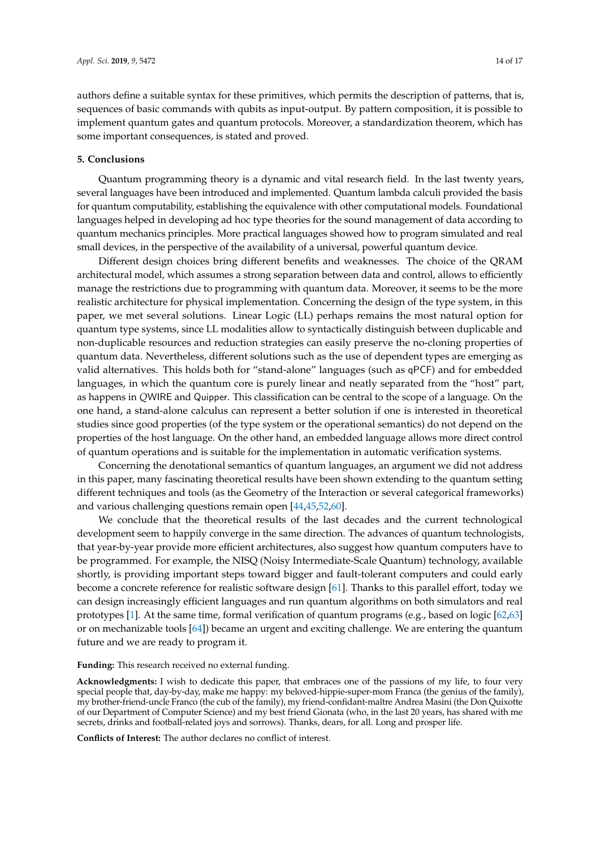authors define a suitable syntax for these primitives, which permits the description of patterns, that is, sequences of basic commands with qubits as input-output. By pattern composition, it is possible to implement quantum gates and quantum protocols. Moreover, a standardization theorem, which has some important consequences, is stated and proved.

## **5. Conclusions**

Quantum programming theory is a dynamic and vital research field. In the last twenty years, several languages have been introduced and implemented. Quantum lambda calculi provided the basis for quantum computability, establishing the equivalence with other computational models. Foundational languages helped in developing ad hoc type theories for the sound management of data according to quantum mechanics principles. More practical languages showed how to program simulated and real small devices, in the perspective of the availability of a universal, powerful quantum device.

Different design choices bring different benefits and weaknesses. The choice of the QRAM architectural model, which assumes a strong separation between data and control, allows to efficiently manage the restrictions due to programming with quantum data. Moreover, it seems to be the more realistic architecture for physical implementation. Concerning the design of the type system, in this paper, we met several solutions. Linear Logic (LL) perhaps remains the most natural option for quantum type systems, since LL modalities allow to syntactically distinguish between duplicable and non-duplicable resources and reduction strategies can easily preserve the no-cloning properties of quantum data. Nevertheless, different solutions such as the use of dependent types are emerging as valid alternatives. This holds both for "stand-alone" languages (such as qPCF) and for embedded languages, in which the quantum core is purely linear and neatly separated from the "host" part, as happens in *Q*WIRE and Quipper. This classification can be central to the scope of a language. On the one hand, a stand-alone calculus can represent a better solution if one is interested in theoretical studies since good properties (of the type system or the operational semantics) do not depend on the properties of the host language. On the other hand, an embedded language allows more direct control of quantum operations and is suitable for the implementation in automatic verification systems.

Concerning the denotational semantics of quantum languages, an argument we did not address in this paper, many fascinating theoretical results have been shown extending to the quantum setting different techniques and tools (as the Geometry of the Interaction or several categorical frameworks) and various challenging questions remain open [\[44](#page-15-18)[,45,](#page-16-0)[52,](#page-16-7)[60\]](#page-16-15).

We conclude that the theoretical results of the last decades and the current technological development seem to happily converge in the same direction. The advances of quantum technologists, that year-by-year provide more efficient architectures, also suggest how quantum computers have to be programmed. For example, the NISQ (Noisy Intermediate-Scale Quantum) technology, available shortly, is providing important steps toward bigger and fault-tolerant computers and could early become a concrete reference for realistic software design [\[61\]](#page-16-16). Thanks to this parallel effort, today we can design increasingly efficient languages and run quantum algorithms on both simulators and real prototypes [\[1\]](#page-14-0). At the same time, formal verification of quantum programs (e.g., based on logic [\[62,](#page-16-17)[63\]](#page-16-18) or on mechanizable tools [\[64\]](#page-16-19)) became an urgent and exciting challenge. We are entering the quantum future and we are ready to program it.

#### **Funding:** This research received no external funding.

**Acknowledgments:** I wish to dedicate this paper, that embraces one of the passions of my life, to four very special people that, day-by-day, make me happy: my beloved-hippie-super-mom Franca (the genius of the family), my brother-friend-uncle Franco (the cub of the family), my friend-confidant-maître Andrea Masini (the Don Quixotte of our Department of Computer Science) and my best friend Gionata (who, in the last 20 years, has shared with me secrets, drinks and football-related joys and sorrows). Thanks, dears, for all. Long and prosper life.

**Conflicts of Interest:** The author declares no conflict of interest.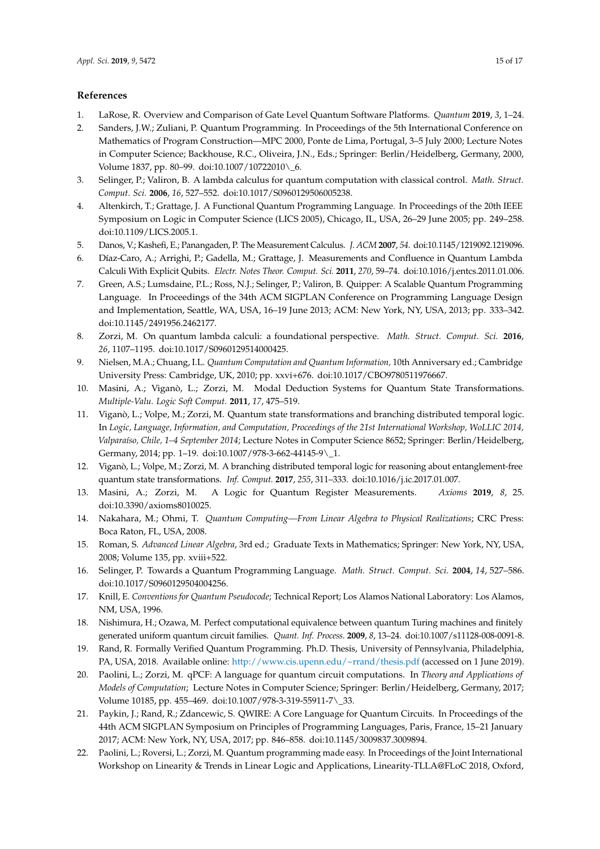# **References**

- <span id="page-14-0"></span>1. LaRose, R. Overview and Comparison of Gate Level Quantum Software Platforms. *Quantum* **2019**, *3*, 1–24.
- <span id="page-14-1"></span>2. Sanders, J.W.; Zuliani, P. Quantum Programming. In Proceedings of the 5th International Conference on Mathematics of Program Construction—MPC 2000, Ponte de Lima, Portugal, 3–5 July 2000; Lecture Notes in Computer Science; Backhouse, R.C., Oliveira, J.N., Eds.; Springer: Berlin/Heidelberg, Germany, 2000, Volume 1837, pp. 80–99. doi[:10.1007/10722010\\\_6.](https://doi.org/10.1007/10722010_6)
- <span id="page-14-8"></span>3. Selinger, P.; Valiron, B. A lambda calculus for quantum computation with classical control. *Math. Struct. Comput. Sci.* **2006**, *16*, 527–552. doi[:10.1017/S0960129506005238.](https://doi.org/10.1017/S0960129506005238)
- <span id="page-14-17"></span>4. Altenkirch, T.; Grattage, J. A Functional Quantum Programming Language. In Proceedings of the 20th IEEE Symposium on Logic in Computer Science (LICS 2005), Chicago, IL, USA, 26–29 June 2005; pp. 249–258. doi[:10.1109/LICS.2005.1.](https://doi.org/10.1109/LICS.2005.1)
- <span id="page-14-18"></span>5. Danos, V.; Kashefi, E.; Panangaden, P. The Measurement Calculus. *J. ACM* **2007**, *54*. doi[:10.1145/1219092.1219096.](https://doi.org/10.1145/1219092.1219096)
- 6. Díaz-Caro, A.; Arrighi, P.; Gadella, M.; Grattage, J. Measurements and Confluence in Quantum Lambda Calculi With Explicit Qubits. *Electr. Notes Theor. Comput. Sci.* **2011**, *270*, 59–74. doi[:10.1016/j.entcs.2011.01.006.](https://doi.org/10.1016/j.entcs.2011.01.006)
- <span id="page-14-16"></span>7. Green, A.S.; Lumsdaine, P.L.; Ross, N.J.; Selinger, P.; Valiron, B. Quipper: A Scalable Quantum Programming Language. In Proceedings of the 34th ACM SIGPLAN Conference on Programming Language Design and Implementation, Seattle, WA, USA, 16–19 June 2013; ACM: New York, NY, USA, 2013; pp. 333–342. doi[:10.1145/2491956.2462177.](https://doi.org/10.1145/2491956.2462177)
- <span id="page-14-2"></span>8. Zorzi, M. On quantum lambda calculi: a foundational perspective. *Math. Struct. Comput. Sci.* **2016**, *26*, 1107–1195. doi[:10.1017/S0960129514000425.](https://doi.org/10.1017/S0960129514000425)
- <span id="page-14-3"></span>9. Nielsen, M.A.; Chuang, I.L. *Quantum Computation and Quantum Information,* 10th Anniversary ed.; Cambridge University Press: Cambridge, UK, 2010; pp. xxvi+676. doi[:10.1017/CBO9780511976667.](https://doi.org/10.1017/CBO9780511976667)
- <span id="page-14-4"></span>10. Masini, A.; Viganò, L.; Zorzi, M. Modal Deduction Systems for Quantum State Transformations. *Multiple-Valu. Logic Soft Comput.* **2011**, *17*, 475–519.
- 11. Viganò, L.; Volpe, M.; Zorzi, M. Quantum state transformations and branching distributed temporal logic. In *Logic, Language, Information, and Computation, Proceedings of the 21st International Workshop, WoLLIC 2014, Valparaíso, Chile, 1–4 September 2014*; Lecture Notes in Computer Science 8652; Springer: Berlin/Heidelberg, Germany, 2014; pp. 1–19. doi[:10.1007/978-3-662-44145-9\\\_1.](https://doi.org/10.1007/978-3-662-44145-9_1)
- 12. Viganò, L.; Volpe, M.; Zorzi, M. A branching distributed temporal logic for reasoning about entanglement-free quantum state transformations. *Inf. Comput.* **2017**, *255*, 311–333. doi[:10.1016/j.ic.2017.01.007.](https://doi.org/10.1016/j.ic.2017.01.007)
- <span id="page-14-5"></span>13. Masini, A.; Zorzi, M. A Logic for Quantum Register Measurements. *Axioms* **2019**, *8*, 25. doi[:10.3390/axioms8010025.](https://doi.org/10.3390/axioms8010025)
- <span id="page-14-6"></span>14. Nakahara, M.; Ohmi, T. *Quantum Computing—From Linear Algebra to Physical Realizations*; CRC Press: Boca Raton, FL, USA, 2008.
- <span id="page-14-7"></span>15. Roman, S. *Advanced Linear Algebra*, 3rd ed.; Graduate Texts in Mathematics; Springer: New York, NY, USA, 2008; Volume 135, pp. xviii+522.
- <span id="page-14-9"></span>16. Selinger, P. Towards a Quantum Programming Language. *Math. Struct. Comput. Sci.* **2004**, *14*, 527–586. doi[:10.1017/S0960129504004256.](https://doi.org/10.1017/S0960129504004256)
- <span id="page-14-10"></span>17. Knill, E. *Conventions for Quantum Pseudocode*; Technical Report; Los Alamos National Laboratory: Los Alamos, NM, USA, 1996.
- <span id="page-14-11"></span>18. Nishimura, H.; Ozawa, M. Perfect computational equivalence between quantum Turing machines and finitely generated uniform quantum circuit families. *Quant. Inf. Process.* **2009**, *8*, 13–24. doi[:10.1007/s11128-008-0091-8.](https://doi.org/10.1007/s11128-008-0091-8)
- <span id="page-14-12"></span>19. Rand, R. Formally Verified Quantum Programming. Ph.D. Thesis, University of Pennsylvania, Philadelphia, PA, USA, 2018. Available online: <http://www.cis.upenn.edu/~rrand/thesis.pdf> (accessed on 1 June 2019).
- <span id="page-14-13"></span>20. Paolini, L.; Zorzi, M. qPCF: A language for quantum circuit computations. In *Theory and Applications of Models of Computation*; Lecture Notes in Computer Science; Springer: Berlin/Heidelberg, Germany, 2017; Volume 10185, pp. 455–469. doi[:10.1007/978-3-319-55911-7\\\_33.](https://doi.org/10.1007/978-3-319-55911-7_33)
- <span id="page-14-14"></span>21. Paykin, J.; Rand, R.; Zdancewic, S. QWIRE: A Core Language for Quantum Circuits. In Proceedings of the 44th ACM SIGPLAN Symposium on Principles of Programming Languages, Paris, France, 15–21 January 2017; ACM: New York, NY, USA, 2017; pp. 846–858. doi[:10.1145/3009837.3009894.](https://doi.org/10.1145/3009837.3009894)
- <span id="page-14-15"></span>22. Paolini, L.; Roversi, L.; Zorzi, M. Quantum programming made easy. In Proceedings of the Joint International Workshop on Linearity & Trends in Linear Logic and Applications, Linearity-TLLA@FLoC 2018, Oxford,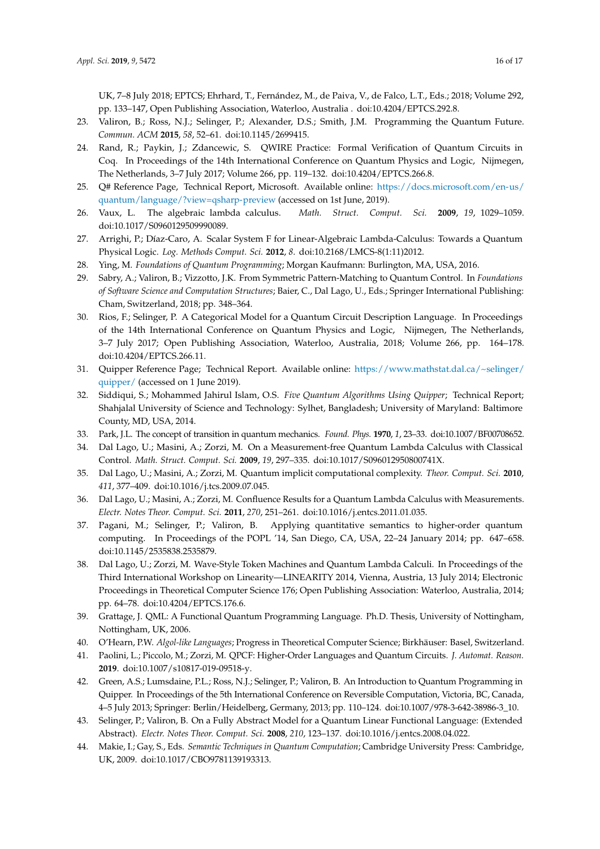UK, 7–8 July 2018; EPTCS; Ehrhard, T., Fernández, M., de Paiva, V., de Falco, L.T., Eds.; 2018; Volume 292, pp. 133–147, Open Publishing Association, Waterloo, Australia . doi[:10.4204/EPTCS.292.8.](https://doi.org/10.4204/EPTCS.292.8)

- <span id="page-15-0"></span>23. Valiron, B.; Ross, N.J.; Selinger, P.; Alexander, D.S.; Smith, J.M. Programming the Quantum Future. *Commun. ACM* **2015**, *58*, 52–61. doi[:10.1145/2699415.](https://doi.org/10.1145/2699415)
- <span id="page-15-1"></span>24. Rand, R.; Paykin, J.; Zdancewic, S. QWIRE Practice: Formal Verification of Quantum Circuits in Coq. In Proceedings of the 14th International Conference on Quantum Physics and Logic, Nijmegen, The Netherlands, 3–7 July 2017; Volume 266, pp. 119–132. doi[:10.4204/EPTCS.266.8.](https://doi.org/10.4204/EPTCS.266.8)
- <span id="page-15-2"></span>25. Q# Reference Page, Technical Report, Microsoft. Available online: [https://docs.microsoft.com/en-us/](https://docs.microsoft.com/en-us/quantum/language/?view=qsharp-preview) [quantum/language/?view=qsharp-preview](https://docs.microsoft.com/en-us/quantum/language/?view=qsharp-preview) (accessed on 1st June, 2019).
- <span id="page-15-3"></span>26. Vaux, L. The algebraic lambda calculus. *Math. Struct. Comput. Sci.* **2009**, *19*, 1029–1059. doi[:10.1017/S0960129509990089.](https://doi.org/10.1017/S0960129509990089)
- <span id="page-15-4"></span>27. Arrighi, P.; Díaz-Caro, A. Scalar System F for Linear-Algebraic Lambda-Calculus: Towards a Quantum Physical Logic. *Log. Methods Comput. Sci.* **2012**, *8*. doi[:10.2168/LMCS-8\(1:11\)2012.](https://doi.org/10.2168/LMCS-8(1:11)2012)
- <span id="page-15-5"></span>28. Ying, M. *Foundations of Quantum Programming*; Morgan Kaufmann: Burlington, MA, USA, 2016.
- <span id="page-15-6"></span>29. Sabry, A.; Valiron, B.; Vizzotto, J.K. From Symmetric Pattern-Matching to Quantum Control. In *Foundations of Software Science and Computation Structures*; Baier, C., Dal Lago, U., Eds.; Springer International Publishing: Cham, Switzerland, 2018; pp. 348–364.
- <span id="page-15-7"></span>30. Rios, F.; Selinger, P. A Categorical Model for a Quantum Circuit Description Language. In Proceedings of the 14th International Conference on Quantum Physics and Logic, Nijmegen, The Netherlands, 3–7 July 2017; Open Publishing Association, Waterloo, Australia, 2018; Volume 266, pp. 164–178. doi[:10.4204/EPTCS.266.11.](https://doi.org/10.4204/EPTCS.266.11)
- <span id="page-15-8"></span>31. Quipper Reference Page; Technical Report. Available online: [https://www.mathstat.dal.ca/~selinger/](https://www.mathstat.dal.ca/~selinger/quipper/) [quipper/](https://www.mathstat.dal.ca/~selinger/quipper/) (accessed on 1 June 2019).
- <span id="page-15-9"></span>32. Siddiqui, S.; Mohammed Jahirul Islam, O.S. *Five Quantum Algorithms Using Quipper*; Technical Report; Shahjalal University of Science and Technology: Sylhet, Bangladesh; University of Maryland: Baltimore County, MD, USA, 2014.
- <span id="page-15-10"></span>33. Park, J.L. The concept of transition in quantum mechanics. *Found. Phys.* **1970**, *1*, 23–33. doi[:10.1007/BF00708652.](https://doi.org/10.1007/BF00708652)
- <span id="page-15-11"></span>34. Dal Lago, U.; Masini, A.; Zorzi, M. On a Measurement-free Quantum Lambda Calculus with Classical Control. *Math. Struct. Comput. Sci.* **2009**, *19*, 297–335. doi[:10.1017/S096012950800741X.](https://doi.org/10.1017/S096012950800741X)
- <span id="page-15-19"></span>35. Dal Lago, U.; Masini, A.; Zorzi, M. Quantum implicit computational complexity. *Theor. Comput. Sci.* **2010**, *411*, 377–409. doi[:10.1016/j.tcs.2009.07.045.](https://doi.org/10.1016/j.tcs.2009.07.045)
- <span id="page-15-20"></span>36. Dal Lago, U.; Masini, A.; Zorzi, M. Confluence Results for a Quantum Lambda Calculus with Measurements. *Electr. Notes Theor. Comput. Sci.* **2011**, *270*, 251–261. doi[:10.1016/j.entcs.2011.01.035.](https://doi.org/10.1016/j.entcs.2011.01.035)
- <span id="page-15-21"></span>37. Pagani, M.; Selinger, P.; Valiron, B. Applying quantitative semantics to higher-order quantum computing. In Proceedings of the POPL '14, San Diego, CA, USA, 22–24 January 2014; pp. 647–658. doi[:10.1145/2535838.2535879.](https://doi.org/10.1145/2535838.2535879)
- <span id="page-15-12"></span>38. Dal Lago, U.; Zorzi, M. Wave-Style Token Machines and Quantum Lambda Calculi. In Proceedings of the Third International Workshop on Linearity—LINEARITY 2014, Vienna, Austria, 13 July 2014; Electronic Proceedings in Theoretical Computer Science 176; Open Publishing Association: Waterloo, Australia, 2014; pp. 64–78. doi[:10.4204/EPTCS.176.6.](https://doi.org/10.4204/EPTCS.176.6)
- <span id="page-15-13"></span>39. Grattage, J. QML: A Functional Quantum Programming Language. Ph.D. Thesis, University of Nottingham, Nottingham, UK, 2006.
- <span id="page-15-15"></span><span id="page-15-14"></span>40. O'Hearn, P.W. *Algol-like Languages*; Progress in Theoretical Computer Science; Birkhäuser: Basel, Switzerland.
- 41. Paolini, L.; Piccolo, M.; Zorzi, M. QPCF: Higher-Order Languages and Quantum Circuits. *J. Automat. Reason.* **2019**. doi[:10.1007/s10817-019-09518-y.](https://doi.org/10.1007/s10817-019-09518-y)
- <span id="page-15-16"></span>42. Green, A.S.; Lumsdaine, P.L.; Ross, N.J.; Selinger, P.; Valiron, B. An Introduction to Quantum Programming in Quipper. In Proceedings of the 5th International Conference on Reversible Computation, Victoria, BC, Canada, 4–5 July 2013; Springer: Berlin/Heidelberg, Germany, 2013; pp. 110–124. doi[:10.1007/978-3-642-38986-3\\_10.](https://doi.org/10.1007/978-3-642-38986-3_10)
- <span id="page-15-17"></span>43. Selinger, P.; Valiron, B. On a Fully Abstract Model for a Quantum Linear Functional Language: (Extended Abstract). *Electr. Notes Theor. Comput. Sci.* **2008**, *210*, 123–137. doi[:10.1016/j.entcs.2008.04.022.](https://doi.org/10.1016/j.entcs.2008.04.022)
- <span id="page-15-18"></span>44. Makie, I.; Gay, S., Eds. *Semantic Techniques in Quantum Computation*; Cambridge University Press: Cambridge, UK, 2009. doi[:10.1017/CBO9781139193313.](https://doi.org/10.1017/CBO9781139193313)